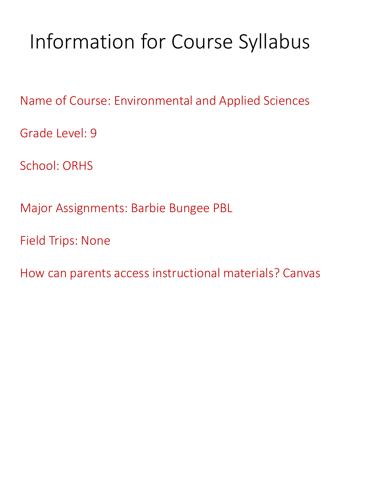# Information for Course Syllabus

Name of Course: Environmental and Applied Sciences

Grade Level: 9

School: ORHS

Major Assignments: Barbie Bungee PBL

Field Trips: None

How can parents access instructional materials? Canvas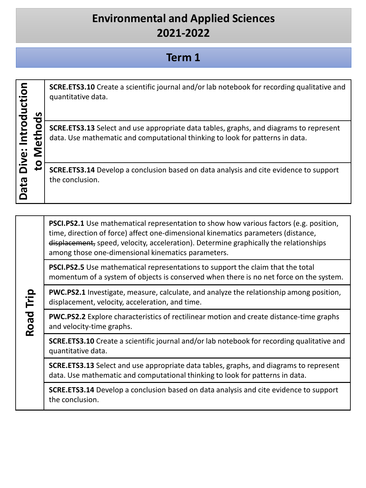#### **Term 1**

|                                    | <b>SCRE.ETS3.10</b> Create a scientific journal and/or lab notebook for recording qualitative and<br>quantitative data.                                                                                                                                                                                                    |
|------------------------------------|----------------------------------------------------------------------------------------------------------------------------------------------------------------------------------------------------------------------------------------------------------------------------------------------------------------------------|
| Data Dive: Introduction<br>Methods | SCRE.ETS3.13 Select and use appropriate data tables, graphs, and diagrams to represent<br>data. Use mathematic and computational thinking to look for patterns in data.                                                                                                                                                    |
| $\overline{c}$                     | SCRE.ETS3.14 Develop a conclusion based on data analysis and cite evidence to support<br>the conclusion.                                                                                                                                                                                                                   |
|                                    |                                                                                                                                                                                                                                                                                                                            |
| Road Trip                          | PSCI.PS2.1 Use mathematical representation to show how various factors (e.g. position,<br>time, direction of force) affect one-dimensional kinematics parameters (distance,<br>displacement, speed, velocity, acceleration). Determine graphically the relationships<br>among those one-dimensional kinematics parameters. |
|                                    | PSCI.PS2.5 Use mathematical representations to support the claim that the total<br>momentum of a system of objects is conserved when there is no net force on the system.                                                                                                                                                  |
|                                    | PWC.PS2.1 Investigate, measure, calculate, and analyze the relationship among position,<br>displacement, velocity, acceleration, and time.                                                                                                                                                                                 |
|                                    | PWC.PS2.2 Explore characteristics of rectilinear motion and create distance-time graphs<br>and velocity-time graphs.                                                                                                                                                                                                       |
|                                    | <b>SCRE.ETS3.10</b> Create a scientific journal and/or lab notebook for recording qualitative and<br>quantitative data.                                                                                                                                                                                                    |
|                                    | SCRE.ETS3.13 Select and use appropriate data tables, graphs, and diagrams to represent<br>data. Use mathematic and computational thinking to look for patterns in data.                                                                                                                                                    |
|                                    | <b>SCRE.ETS3.14</b> Develop a conclusion based on data analysis and cite evidence to support<br>the conclusion.                                                                                                                                                                                                            |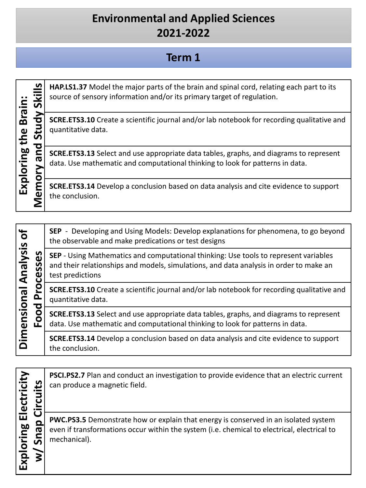#### **Term 1**

|                       | Skil   |
|-----------------------|--------|
| Brain <sup>.</sup>    |        |
|                       |        |
|                       |        |
|                       | Study  |
|                       |        |
|                       |        |
|                       |        |
| $\boldsymbol{\omega}$ |        |
| 손                     |        |
|                       |        |
|                       | and    |
|                       |        |
|                       |        |
|                       |        |
|                       |        |
|                       |        |
|                       |        |
|                       |        |
|                       |        |
| Exploring             |        |
|                       |        |
|                       |        |
|                       | Memory |
|                       |        |

source of sensory information and/or its primary target of regulation.

**SCRE.ETS3.10** Create a scientific journal and/or lab notebook for recording qualitative and quantitative data.

**SCRE.ETS3.13** Select and use appropriate data tables, graphs, and diagrams to represent data. Use mathematic and computational thinking to look for patterns in data.

**MEMORY AND HAP.LS1.37** Model the major parts of the brain and spinal cord, relating each part to its<br>source of sensory information and/or its primary target of regulation.<br>**SCRE.ETS3.10** Create a scientific journal and/or **SCRE.ETS3.14** Develop a conclusion based on data analysis and cite evidence to support the conclusion.

| $\mathbf{b}$<br>Analysis<br>ω<br>imensional<br>O<br>О<br>ய | SEP - Developing and Using Models: Develop explanations for phenomena, to go beyond<br>the observable and make predications or test designs                                                        |                                                                                                                 |
|------------------------------------------------------------|----------------------------------------------------------------------------------------------------------------------------------------------------------------------------------------------------|-----------------------------------------------------------------------------------------------------------------|
|                                                            | SEP - Using Mathematics and computational thinking: Use tools to represent variables<br>and their relationships and models, simulations, and data analysis in order to make an<br>test predictions |                                                                                                                 |
|                                                            | <b>SCRE.ETS3.10</b> Create a scientific journal and/or lab notebook for recording qualitative and<br>quantitative data.                                                                            |                                                                                                                 |
|                                                            | <b>SCRE.ETS3.13</b> Select and use appropriate data tables, graphs, and diagrams to represent<br>data. Use mathematic and computational thinking to look for patterns in data.                     |                                                                                                                 |
|                                                            |                                                                                                                                                                                                    | <b>SCRE.ETS3.14</b> Develop a conclusion based on data analysis and cite evidence to support<br>the conclusion. |

**Exploring Electricity**  Exploring Electricity Snap Circuits **w/ Snap Circuits** ζ

**PSCI.PS2.7** Plan and conduct an investigation to provide evidence that an electric current can produce a magnetic field.

**PWC.PS3.5** Demonstrate how or explain that energy is conserved in an isolated system even if transformations occur within the system (i.e. chemical to electrical, electrical to mechanical).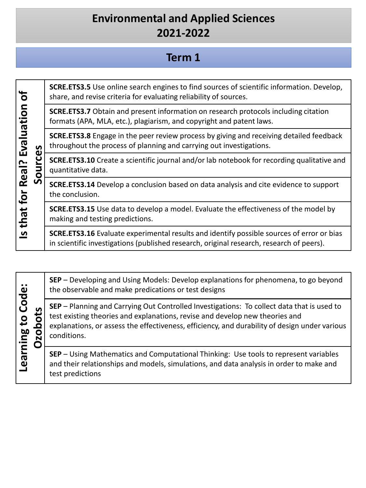#### **Term 1**

| ្រ         | n<br>Ő<br><u>ပ</u><br>ō<br>n | <b>SCRE.ETS3.5</b> Use online search engines to find sources of scientific information. Develop,<br>share, and revise criteria for evaluating reliability of sources.                 |
|------------|------------------------------|---------------------------------------------------------------------------------------------------------------------------------------------------------------------------------------|
|            |                              | <b>SCRE.ETS3.7</b> Obtain and present information on research protocols including citation<br>formats (APA, MLA, etc.), plagiarism, and copyright and patent laws.                    |
| Evaluation |                              | <b>SCRE.ETS3.8</b> Engage in the peer review process by giving and receiving detailed feedback<br>throughout the process of planning and carrying out investigations.                 |
| Real?      |                              | <b>SCRE.ETS3.10</b> Create a scientific journal and/or lab notebook for recording qualitative and<br>quantitative data.                                                               |
|            |                              | <b>SCRE.ETS3.14</b> Develop a conclusion based on data analysis and cite evidence to support<br>the conclusion.                                                                       |
| that for   |                              | <b>SCRE.ETS3.15</b> Use data to develop a model. Evaluate the effectiveness of the model by<br>making and testing predictions.                                                        |
| <u>ဖ</u>   |                              | SCRE.ETS3.16 Evaluate experimental results and identify possible sources of error or bias<br>in scientific investigations (published research, original research, research of peers). |

| Code:<br>$\mathbf{5}$<br>ching to | SEP - Developing and Using Models: Develop explanations for phenomena, to go beyond<br>the observable and make predications or test designs                                                                                                                                                |
|-----------------------------------|--------------------------------------------------------------------------------------------------------------------------------------------------------------------------------------------------------------------------------------------------------------------------------------------|
|                                   | SEP - Planning and Carrying Out Controlled Investigations: To collect data that is used to<br>test existing theories and explanations, revise and develop new theories and<br>explanations, or assess the effectiveness, efficiency, and durability of design under various<br>conditions. |
| <b>IG91</b>                       | SEP - Using Mathematics and Computational Thinking: Use tools to represent variables<br>and their relationships and models, simulations, and data analysis in order to make and<br>test predictions                                                                                        |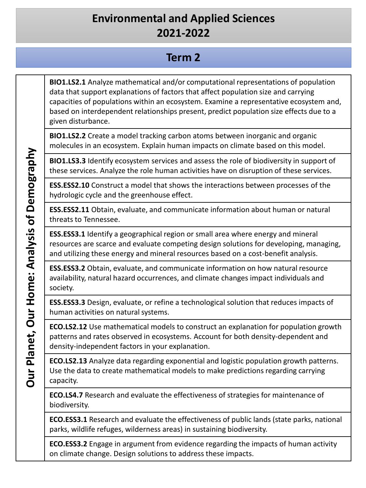#### **Term 2**

**BIO1.LS2.1** Analyze mathematical and/or computational representations of population data that support explanations of factors that affect population size and carrying capacities of populations within an ecosystem. Examine a representative ecosystem and, based on interdependent relationships present, predict population size effects due to a given disturbance.

**BIO1.LS2.2** Create a model tracking carbon atoms between inorganic and organic molecules in an ecosystem. Explain human impacts on climate based on this model.

**BIO1.LS3.3** Identify ecosystem services and assess the role of biodiversity in support of these services. Analyze the role human activities have on disruption of these services.

**ESS.ESS2.10** Construct a model that shows the interactions between processes of the hydrologic cycle and the greenhouse effect.

**ESS.ESS2.11** Obtain, evaluate, and communicate information about human or natural threats to Tennessee.

**ESS.ESS3.1** Identify a geographical region or small area where energy and mineral resources are scarce and evaluate competing design solutions for developing, managing, and utilizing these energy and mineral resources based on a cost-benefit analysis.

**ESS.ESS3.2** Obtain, evaluate, and communicate information on how natural resource availability, natural hazard occurrences, and climate changes impact individuals and society.

**ESS.ESS3.3** Design, evaluate, or refine a technological solution that reduces impacts of human activities on natural systems.

**ECO.LS2.12** Use mathematical models to construct an explanation for population growth patterns and rates observed in ecosystems. Account for both density-dependent and density-independent factors in your explanation.

**ECO.LS2.13** Analyze data regarding exponential and logistic population growth patterns. Use the data to create mathematical models to make predictions regarding carrying capacity.

**ECO.LS4.7** Research and evaluate the effectiveness of strategies for maintenance of biodiversity.

**ECO.ESS3.1** Research and evaluate the effectiveness of public lands (state parks, national parks, wildlife refuges, wilderness areas) in sustaining biodiversity.

**ECO.ESS3.2** Engage in argument from evidence regarding the impacts of human activity on climate change. Design solutions to address these impacts.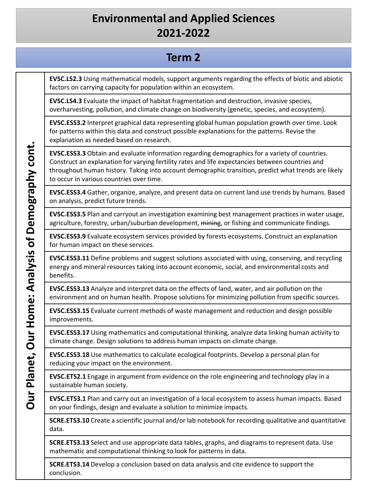#### **Term 2**

**EVSC.LS2.3** Using mathematical models, support arguments regarding the effects of biotic and abiotic factors on carrying capacity for population within an ecosystem.

**EVSC.LS4.3** Evaluate the impact of habitat fragmentation and destruction, invasive species, overharvesting, pollution, and climate change on biodiversity (genetic, species, and ecosystem).

**EVSC.ESS3.2** Interpret graphical data representing global human population growth over time. Look for patterns within this data and construct possible explanations for the patterns. Revise the explanation as needed based on research.

**EVSC.ESS3.3** Obtain and evaluate information regarding demographics for a variety of countries. Construct an explanation for varying fertility rates and life expectancies between countries and throughout human history. Taking into account demographic transition, predict what trends are likely to occur in various countries over time.

**EVSC.ESS3.4** Gather, organize, analyze, and present data on current land use trends by humans. Based on analysis, predict future trends.

**EVSC.ESS3.5** Plan and carryout an investigation examining best management practices in water usage, agriculture, forestry, urban/suburban development, mining, or fishing and communicate findings.

**EVSC.ESS3.9** Evaluate ecosystem services provided by forests ecosystems. Construct an explanation for human impact on these services.

**EVSC.ESS3.11** Define problems and suggest solutions associated with using, conserving, and recycling energy and mineral resources taking into account economic, social, and environmental costs and benefits.

**EVSC.ESS3.13** Analyze and interpret data on the effects of land, water, and air pollution on the environment and on human health. Propose solutions for minimizing pollution from specific sources.

**EVSC.ESS3.15** Evaluate current methods of waste management and reduction and design possible improvements.

**EVSC.ESS3.17** Using mathematics and computational thinking, analyze data linking human activity to climate change. Design solutions to address human impacts on climate change.

**EVSC.ESS3.18** Use mathematics to calculate ecological footprints. Develop a personal plan for reducing your impact on the environment.

**EVSC.ETS2.1** Engage in argument from evidence on the role engineering and technology play in a sustainable human society.

**EVSC.ETS3.1** Plan and carry out an investigation of a local ecosystem to assess human impacts. Based on your findings, design and evaluate a solution to minimize impacts.

**SCRE.ETS3.10** Create a scientific journal and/or lab notebook for recording qualitative and quantitative data.

**SCRE.ETS3.13** Select and use appropriate data tables, graphs, and diagrams to represent data. Use mathematic and computational thinking to look for patterns in data.

**SCRE.ETS3.14** Develop a conclusion based on data analysis and cite evidence to support the conclusion.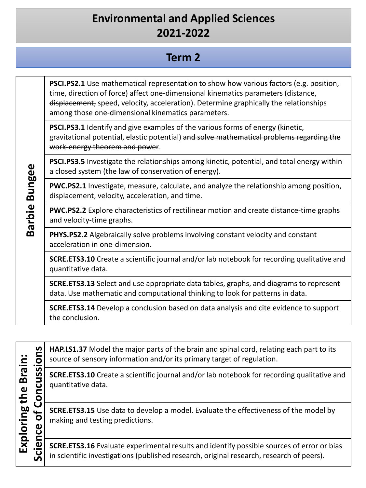#### **Term 2**

**PSCI.PS2.1** Use mathematical representation to show how various factors (e.g. position, time, direction of force) affect one-dimensional kinematics parameters (distance, displacement, speed, velocity, acceleration). Determine graphically the relationships among those one-dimensional kinematics parameters.

**PSCI.PS3.1** Identify and give examples of the various forms of energy (kinetic, gravitational potential, elastic potential) and solve mathematical problems regarding the work-energy theorem and power.

**PSCI.PS3.5** Investigate the relationships among kinetic, potential, and total energy within a closed system (the law of conservation of energy).

**PWC.PS2.1** Investigate, measure, calculate, and analyze the relationship among position, displacement, velocity, acceleration, and time.

**PWC.PS2.2** Explore characteristics of rectilinear motion and create distance-time graphs and velocity-time graphs.

**PHYS.PS2.2** Algebraically solve problems involving constant velocity and constant acceleration in one-dimension.

**SCRE.ETS3.10** Create a scientific journal and/or lab notebook for recording qualitative and quantitative data.

**SCRE.ETS3.13** Select and use appropriate data tables, graphs, and diagrams to represent data. Use mathematic and computational thinking to look for patterns in data.

**SCRE.ETS3.14** Develop a conclusion based on data analysis and cite evidence to support the conclusion.

**SCIENCIST AND THE MAP.LS1.37** Model the major parts of the brain and spinal cord, relating each part to its<br>
source of sensory information and/or its primary target of regulation.<br> **SCRE.ETS3.10** Create a scientific journ **Exploring the Brain:**  Exploring the Brain: source of sensory information and/or its primary target of regulation. **SCRE.ETS3.10** Create a scientific journal and/or lab notebook for recording qualitative and quantitative data. **SCRE.ETS3.15** Use data to develop a model. Evaluate the effectiveness of the model by making and testing predictions. **SCRE.ETS3.16** Evaluate experimental results and identify possible sources of error or bias in scientific investigations (published research, original research, research of peers).

# Barbie Bungee **Barbie Bungee**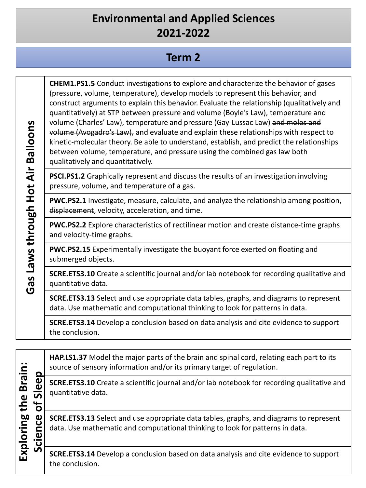#### **Term 2**

**CHEM1.PS1.5** Conduct investigations to explore and characterize the behavior of gases (pressure, volume, temperature), develop models to represent this behavior, and construct arguments to explain this behavior. Evaluate the relationship (qualitatively and quantitatively) at STP between pressure and volume (Boyle's Law), temperature and volume (Charles' Law), temperature and pressure (Gay-Lussac Law) and moles and volume (Avogadro's Law), and evaluate and explain these relationships with respect to kinetic-molecular theory. Be able to understand, establish, and predict the relationships between volume, temperature, and pressure using the combined gas law both qualitatively and quantitatively.

**PSCI.PS1.2** Graphically represent and discuss the results of an investigation involving pressure, volume, and temperature of a gas.

**PWC.PS2.1** Investigate, measure, calculate, and analyze the relationship among position, displacement, velocity, acceleration, and time.

**PWC.PS2.2** Explore characteristics of rectilinear motion and create distance-time graphs and velocity-time graphs.

**PWC.PS2.15** Experimentally investigate the buoyant force exerted on floating and submerged objects.

**SCRE.ETS3.10** Create a scientific journal and/or lab notebook for recording qualitative and quantitative data.

**SCRE.ETS3.13** Select and use appropriate data tables, graphs, and diagrams to represent data. Use mathematic and computational thinking to look for patterns in data.

**SCRE.ETS3.14** Develop a conclusion based on data analysis and cite evidence to support the conclusion.

**HAP.LS1.37** Model the major parts of the brain and spinal cord, relating each part to its **Exploring the Brain:**  Exploring the Brain: source of sensory information and/or its primary target of regulation. Sleep **Science of Sleep SCRE.ETS3.10** Create a scientific journal and/or lab notebook for recording qualitative and quantitative data. Science of

**SCRE.ETS3.13** Select and use appropriate data tables, graphs, and diagrams to represent data. Use mathematic and computational thinking to look for patterns in data.

**SCRE.ETS3.14** Develop a conclusion based on data analysis and cite evidence to support the conclusion.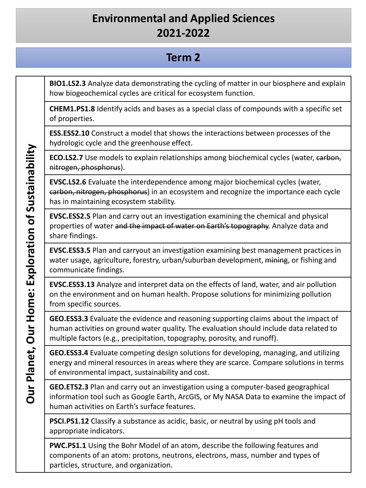#### **Term 2**

**BIO1.LS2.3** Analyze data demonstrating the cycling of matter in our biosphere and explain how biogeochemical cycles are critical for ecosystem function.

**CHEM1.PS1.8** Identify acids and bases as a special class of compounds with a specific set of properties.

**ESS.ESS2.10** Construct a model that shows the interactions between processes of the hydrologic cycle and the greenhouse effect.

**ECO.LS2.7** Use models to explain relationships among biochemical cycles (water, earbon, nitrogen, phosphorus).

**EVSC.LS2.6** Evaluate the interdependence among major biochemical cycles (water, carbon, nitrogen, phosphorus) in an ecosystem and recognize the importance each cycle has in maintaining ecosystem stability.

**EVSC.ESS2.5** Plan and carry out an investigation examining the chemical and physical properties of water and the impact of water on Earth's topography. Analyze data and share findings.

**EVSC.ESS3.5** Plan and carryout an investigation examining best management practices in water usage, agriculture, forestry, urban/suburban development, mining, or fishing and communicate findings.

**EVSC.ESS3.13** Analyze and interpret data on the effects of land, water, and air pollution on the environment and on human health. Propose solutions for minimizing pollution from specific sources.

**GEO.ESS3.3** Evaluate the evidence and reasoning supporting claims about the impact of human activities on ground water quality. The evaluation should include data related to multiple factors (e.g., precipitation, topography, porosity, and runoff).

**GEO.ESS3.4** Evaluate competing design solutions for developing, managing, and utilizing energy and mineral resources in areas where they are scarce. Compare solutions in terms of environmental impact, sustainability and cost.

**GEO.ETS2.3** Plan and carry out an investigation using a computer-based geographical information tool such as Google Earth, ArcGIS, or My NASA Data to examine the impact of human activities on Earth's surface features.

**PSCI.PS1.12** Classify a substance as acidic, basic, or neutral by using pH tools and appropriate indicators.

**PWC.PS1.1** Using the Bohr Model of an atom, describe the following features and components of an atom: protons, neutrons, electrons, mass, number and types of particles, structure, and organization.